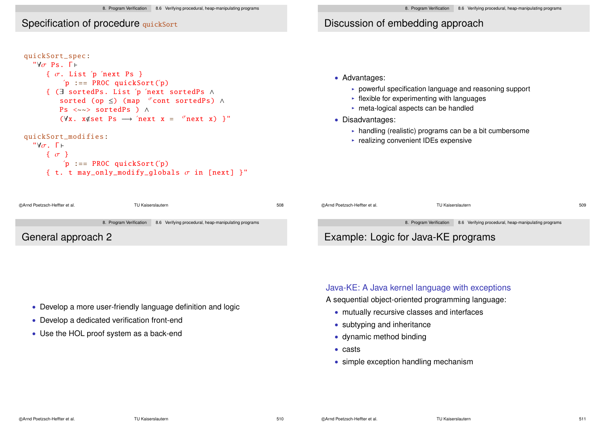### Specification of procedure quickSort

| { $\sigma$ . List 'p 'next Ps }                                 |
|-----------------------------------------------------------------|
| $'p ::= PROC$ quickSort $('p)$                                  |
| { (3 sortedPs. List 'p 'next sortedPs $\wedge$                  |
| sorted (op $\leq$ ) (map $\sigma$ cont sortedPs) $\wedge$       |
| $\text{Ps} \iff \text{sortedPs}$ ) $\land$                      |
| $(\forall x. x \notin set Ps \rightarrow 'next x = 'next x)$ '" |

```
\forall \sigma. Γ \vdash\{\sigma\}'p := PROC quickSort('p){ t. t may_only_modify_globals \sigma in [next] }"
```
# Discussion of embedding approach

- Advantages:
	- $\triangleright$  powerful specification language and reasoning support
	- $\blacktriangleright$  flexible for experimenting with languages
	- $\triangleright$  meta-logical aspects can be handled
- Disadvantages:
	- $\triangleright$  handling (realistic) programs can be a bit cumbersome
	- $\triangleright$  realizing convenient IDEs expensive

| ରArnd Poetzsch-Heffter et al.<br>TU Kaiserslautern                           | 508 | ©Arnd Poetzsch-Heffter et al. | TU Kaiserslautern                                                            | 509 |
|------------------------------------------------------------------------------|-----|-------------------------------|------------------------------------------------------------------------------|-----|
| 8. Program Verification 8.6 Verifying procedural, heap-manipulating programs |     |                               | 8. Program Verification 8.6 Verifying procedural, heap-manipulating programs |     |
| General approach 2                                                           |     |                               | Example: Logic for Java-KE programs                                          |     |

- Develop a more user-friendly language definition and logic
- Develop a dedicated verification front-end
- Use the HOL proof system as a back-end

### Java-KE: A Java kernel language with exceptions

- A sequential object-oriented programming language:
	- mutually recursive classes and interfaces
	- subtyping and inheritance
	- dynamic method binding
	- casts
	- simple exception handling mechanism

©Arnd Poetzsch-Heffter et al.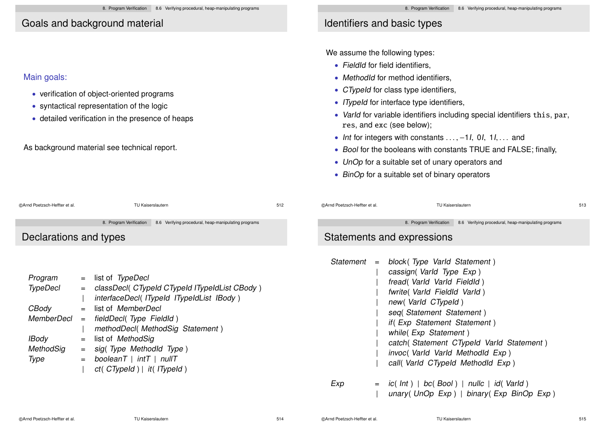# Goals and background material

### Main goals:

- verification of object-oriented programs
- syntactical representation of the logic
- detailed verification in the presence of heaps

### As background material see technical report.

# Identifiers and basic types

We assume the following types:

- FieldId for field identifiers,
- MethodId for method identifiers,
- CTypeId for class type identifiers,
- ITypeId for interface type identifiers,
- VarId for variable identifiers including special identifiers this, par, res, and exc (see below);
- Int for integers with constants  $\dots$ , -1, 0, 1,  $\dots$  and
- Bool for the booleans with constants TRUE and FALSE; finally,
- UnOp for a suitable set of unary operators and
- BinOp for a suitable set of binary operators

| @Arnd Poetzsch-Heffter et al                               | TU Kaiserslautern                                                                                                                                                                                                                                                                                                                                             | 512 | @Arnd Poetzsch-Heffter et al. | TU Kaiserslautern                                                                                                                                                                                                                                                                                                                                                                                                                                                      | 513 |
|------------------------------------------------------------|---------------------------------------------------------------------------------------------------------------------------------------------------------------------------------------------------------------------------------------------------------------------------------------------------------------------------------------------------------------|-----|-------------------------------|------------------------------------------------------------------------------------------------------------------------------------------------------------------------------------------------------------------------------------------------------------------------------------------------------------------------------------------------------------------------------------------------------------------------------------------------------------------------|-----|
| Declarations and types                                     | 8. Program Verification<br>8.6 Verifying procedural, heap-manipulating programs                                                                                                                                                                                                                                                                               |     |                               | 8. Program Verification<br>8.6 Verifying procedural, heap-manipulating programs<br>Statements and expressions                                                                                                                                                                                                                                                                                                                                                          |     |
| Program<br>TypeDecl<br>CBody<br>IBody<br>MethodSig<br>Type | $=$ list of TypeDecl<br>= classDecl( CTypeId CTypeId ITypeIdList CBody)<br>interfaceDecl(ITypeId ITypeIdList IBody)<br>= list of MemberDecl<br>$MemberDecI = fieldDecI(Type FieldId)$<br>methodDecl(MethodSig Statement)<br>$=$ list of <i>MethodSig</i><br>$=$ sig(Type Methodld Type)<br>$=$ booleanT   intT   nullT<br>$ct($ CTypeId $)$   it( ITypeId $)$ |     | Exp                           | Statement = $block(Type\ Variable Statement)$<br>cassign (Varld Type Exp)<br>fread (Varld Varld Fieldld)<br>fwrite(Varld FieldId Varld)<br>new (Varld CTypeld)<br>seq(Statement Statement)<br>if (Exp Statement Statement)<br>while(Exp Statement)<br>catch (Statement CTypeld Varld Statement)<br>invoc( Varld Varld Methodld Exp)<br>call( Varld CTypeld Methodld Exp)<br>$=$ ic(lnt)   bc(Bool)   nullc   id(Varld)<br>unary (UnOp $Exp$ )   binary (Exp BinOp Exp) |     |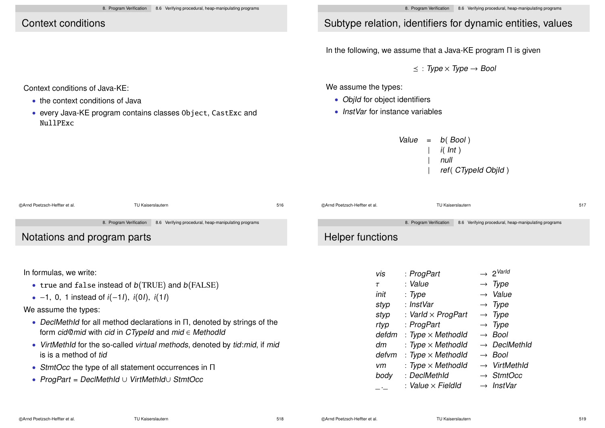# Context conditions

Context conditions of Java-KE:

NullPExc

• the context conditions of Java

# Subtype relation, identifiers for dynamic entities, values

In the following, we assume that a Java-KE program Π is given

 $\prec$ : Type  $\times$  Type  $\rightarrow$  Bool

We assume the types:

- ObjId for object identifiers
- InstVar for instance variables

| Value | $=$ | $b($ Bool $)$ |
|-------|-----|---------------|
|       |     | $i($ Int $)$  |

| null

ref( CTypeId ObjId)

| @Arnd Poetzsch-Heffter et al. | TU Kaiserslautern                                                            | 516 | ©Arnd Poetzsch-Heffter et al. | TU Kaiserslautern                                                            | 517 |
|-------------------------------|------------------------------------------------------------------------------|-----|-------------------------------|------------------------------------------------------------------------------|-----|
|                               | 8. Program Verification 8.6 Verifying procedural, heap-manipulating programs |     |                               | 8. Program Verification 8.6 Verifying procedural, heap-manipulating programs |     |
| Notations and program parts   |                                                                              |     | Helper functions              |                                                                              |     |

In formulas, we write:

• true and false instead of  $b(TRUE)$  and  $b(FALSE)$ 

• every Java-KE program contains classes Object, CastExc and

•  $-1$ , 0, 1 instead of  $i(-11)$ ,  $i(01)$ ,  $i(11)$ 

We assume the types:

- DeclMethId for all method declarations in Π, denoted by strings of the form cid@mid with cid in CTypeId and mid ∈ MethodId
- VirtMethId for the so-called virtual methods, denoted by tid:mid, if mid is is a method of tid
- StmtOcc the type of all statement occurrences in Π
- ProgPart = DeclMethId ∪ VirtMethId∪ StmtOcc

| vis    | : ProgPart                | $\rightarrow 2^{\text{VarId}}$ |
|--------|---------------------------|--------------------------------|
| $\tau$ | : Value                   | $\rightarrow$ Type             |
| init   | : Type                    | $\rightarrow$ Value            |
| styp   | : InstVar                 | $\rightarrow$ Type             |
| styp   | : Varld $\times$ ProgPart | $\rightarrow$ Type             |
| rtyp   | : ProgPart                | $\rightarrow$ Type             |
| defdm  | : Type $\times$ Methodld  | $\rightarrow$ Bool             |
| dm     | : Type $\times$ Methodld  | $\rightarrow$ DeclMethia       |
| defvm  | : Type $\times$ Methodld  | $\rightarrow$ Bool             |
| vm     | : Type $\times$ MethodId  | $\rightarrow$ VirtMethId       |
| body   | : DeclMethId              | $\rightarrow$ StmtOcc          |
|        | : Value $\times$ FieldId  | $\rightarrow$ InstVar          |
|        |                           |                                |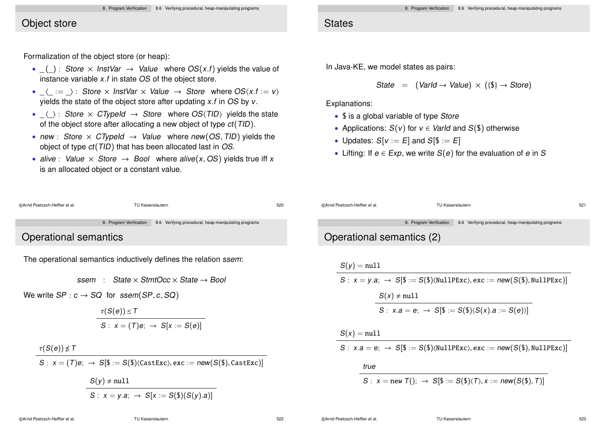#### 8. Program Verification 8.6 Verifying procedural, heap-manipulating programs

### Object store

Formalization of the object store (or heap):

- $($   $)$  : Store  $\times$  InstVar  $\rightarrow$  Value where OS(x,f) yields the value of instance variable x.f in state OS of the object store.
- $\langle := \rangle$ : Store  $\times$  InstVar  $\times$  Value  $\rightarrow$  Store where OS $\langle x.f := v \rangle$ vields the state of the object store after updating  $x.f$  in  $OS$  by  $v.$
- $\langle \rangle$ : Store  $\times$  CTypeId  $\rightarrow$  Store where OS(TID) yields the state of the object store after allocating a new object of type ct(TID).
- new : Store  $\times$  CTypeId  $\rightarrow$  Value where new(OS, TID) yields the object of type ct(TID) that has been allocated last in OS.
- alive : Value  $\times$  Store  $\rightarrow$  Bool where alive(x, OS) yields true iff x is an allocated object or a constant value.

### **States**

In Java-KE, we model states as pairs:

State =  $(Variable \rightarrow Value) \times (\{\$\} \rightarrow Store)$ 

Explanations:

- $\frac{1}{2}$  is a global variable of type Store
- Applications:  $S(v)$  for  $v \in \text{Variable and } S(\$\)$  otherwise
- Updates:  $S[v := E]$  and  $S[\$ := E]$
- Lifting: If  $e \in Exp$ , we write  $S(e)$  for the evaluation of e in S

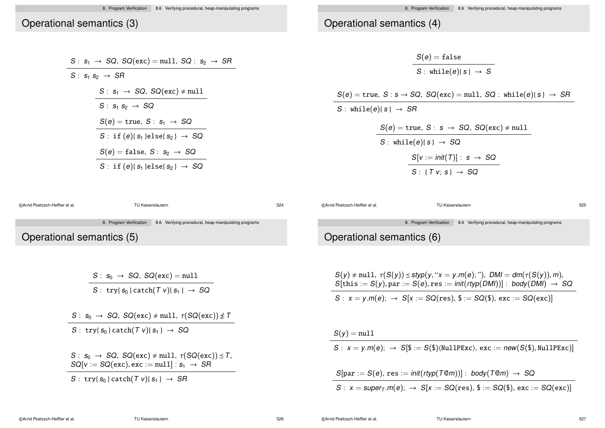### Operational semantics (3)

 $S : S_1$ 

| $S: s_1 \rightarrow SQ$ , $SQ(exc) = null$ , $SQ: s_2 \rightarrow SR$ |
|-----------------------------------------------------------------------|
| $S: s_1 s_2 \rightarrow SR$                                           |
| $S: s_1 \rightarrow SQ$ , $SQ(exc) \neq null$                         |
| $S: s_1 s_2 \rightarrow SQ$                                           |
| $S(e)$ = true, $S: s_1 \rightarrow SQ$                                |
| S: if $(e)$ { $s_1$ }else{ $s_2$ } $\rightarrow$ SQ                   |
|                                                                       |

# Operational semantics (4)

$$
S(e) = false
$$
\n
$$
S : \text{while}(e)(s) \rightarrow S
$$
\n
$$
S(e) = \text{true}, S : s \rightarrow SQ, \, SQ(\text{exc}) = \text{null}, \, SG : \, \text{while}(e)(s) \rightarrow SR
$$
\n
$$
S(e) = \text{true}, S : s \rightarrow SQ, \, SQ(\text{exc}) \neq \text{null}
$$
\n
$$
S : \text{while}(e)(s) \rightarrow SQ
$$
\n
$$
S[v := \text{init}(T)] : s \rightarrow SQ
$$
\n
$$
S : \{ T v; s \} \rightarrow SQ
$$

| ©Arnd Poetzsch-Heffter et al. |                                            | TU Kaiserslautern                                        | 524 |
|-------------------------------|--------------------------------------------|----------------------------------------------------------|-----|
|                               | 8. Program Verification                    | 8.6 Verifying procedural, heap-manipulating programs     |     |
| Operational semantics (5)     |                                            |                                                          |     |
|                               |                                            |                                                          |     |
|                               |                                            |                                                          |     |
|                               | $S: s_0 \rightarrow SQ$ , $SQ(exc) = null$ |                                                          |     |
|                               |                                            | S: try{ $s_0$ } catch( $T v$ ){ $s_1$ } $\rightarrow$ SQ |     |

 $S(e) = false$ ,  $S : s_2 \rightarrow SQ$  $S: \text{if } (e) \{s_1\} \text{else} \{s_2\} \rightarrow \text{SQ}$ 

| S: $s_0 \rightarrow SQ$ , $SQ(exc) \neq null$ , $\tau(SQ(exc)) \nleq T$                                                          |  |  |
|----------------------------------------------------------------------------------------------------------------------------------|--|--|
| S: try{ $s_0$ } catch(T v){ $s_1$ } $\rightarrow$ SQ                                                                             |  |  |
| $S: s_0 \rightarrow SQ$ , $SQ(exc) \neq null$ , $\tau(SQ(exc)) \leq T$ ,<br>$SQ[v := SQ(exc), exc := null] : s_1 \rightarrow SR$ |  |  |

S: try{ $S_0$ } catch(T v){ $S_1$ }  $\rightarrow$  SR

©Arnd Poetzsch-Heffter et al. TU Kaiserslautern 525

8. Program Verification 8.6 Verifying procedural, heap-manipulating programs

# Operational semantics (6)

| $S(y) \neq \text{null}, \tau(S(y)) \leq \text{styp}(y, "x = y.m(e);"), DM = dm(\tau(S(y)), m),$<br>$S[{\text{this}} := S(y), {\text{par}} := S(e), {\text{res}} := \text{init}(\text{rtyp}(\text{DMI}))$ : body(DMI) $\rightarrow$ SQ |
|---------------------------------------------------------------------------------------------------------------------------------------------------------------------------------------------------------------------------------------|
| $S: x = y.m(e); \rightarrow S[x := SQ(res), \$ := SQ(\$), exc := SQ(exc)]$                                                                                                                                                            |

 $S(y) = null$ 

 $S: x = y.m(e); \rightarrow S[\$ := S(\$)\langle \text{NullPExc}\rangle, \text{exc} := new(S(\$), \text{NullPExc})]$ 

 $S[par := S(e), res := init(rtyp(T@m))]$ : body $(T@m) \rightarrow SQ$  $S: x = super_T.m(e); \rightarrow S[x := SQ(res), $S := SQ($), exc := SQ(exc)]$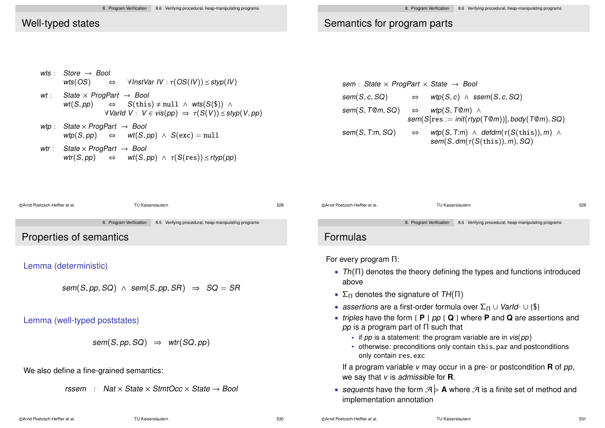## Semantics for program parts

|  | wts : Store $\rightarrow$ Bool<br>wts(OS) $\Leftrightarrow$ VInstVar IV : $\tau(OS(IV)) \leq \text{styp}(IV)$                                                                                          |
|--|--------------------------------------------------------------------------------------------------------------------------------------------------------------------------------------------------------|
|  | wt: State $\times$ ProgPart $\rightarrow$ Bool<br>$wt(S, pp) \Leftrightarrow S(this) \neq null \wedge wts(S(\$)) \wedge$<br>$\forall$ Varld V: $V \in vis(pp) \Rightarrow \tau(S(V)) \leq styp(V, pp)$ |
|  | wtp: State $\times$ ProgPart $\rightarrow$ Bool<br>$\mathsf{wtp}(S, \mathsf{pp}) \quad \Leftrightarrow \quad \mathsf{wt}(S, \mathsf{pp}) \land S(\mathsf{exc}) = \texttt{null}$                        |
|  | wtr: State $\times$ ProgPart $\rightarrow$ Bool                                                                                                                                                        |

 $\mathsf{wtr}(S, pp) \quad \Leftrightarrow \quad \mathsf{wt}(S, pp) \ \wedge \ \tau(S(\mathtt{res})) \preceq \mathsf{rtyp}(pp)$ 

sem : State  $\times$  ProgPart  $\times$  State  $\rightarrow$  Bool  $sem(S, c, SQ)$   $\Leftrightarrow$   $wtp(S, c) \wedge ssem(S, c, SQ)$ sem(S, T@m, SQ)  $\Leftrightarrow$  wtp(S, T@m) ∧  $sem(S[res := init(rtyp(T@m))], body(T@m), SQ)$  $sem(S, T:m, SQ)$   $\Leftrightarrow$   $wtp(S, T:m) \wedge defdm(\tau(S(this)), m) \wedge$  $sem(S, dm(\tau(S(this)), m), SQ)$ 



©Arnd Poetzsch-Heffter et al. TU Kaiserslautern 531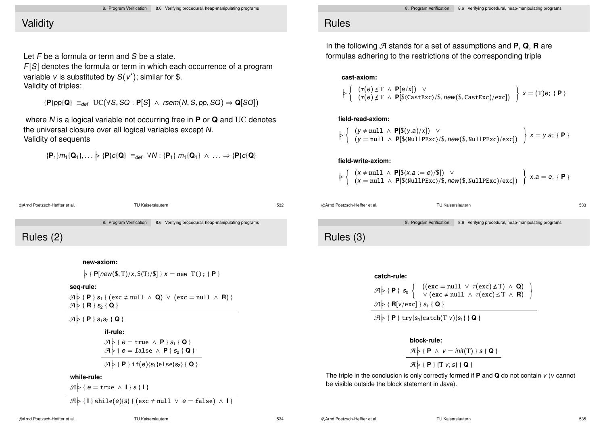# **Validity**

Let F be a formula or term and S be a state.

F[S] denotes the formula or term in which each occurrence of a program variable  $v$  is substituted by  $\mathcal{S}(v')$ ; similar for \$. Validity of triples:

 ${P}pp{Q} \equiv_{def} UC(\forall S, SQ : P[S] \land rsem(N, S, pp, SQ) \Rightarrow Q[SQ])$ 

where N is a logical variable not occurring free in **P** or **Q** and UC denotes the universal closure over all logical variables except N. Validity of sequents

$$
\{ \textbf{P}_1\} m_1 \{ \textbf{Q}_1\}, \ldots \n\triangleright \{ \textbf{P}\} c \{ \textbf{Q}\} \ \equiv_{def} \ \forall N: \{ \textbf{P}_1\} \ m_1 \{ \textbf{Q}_1\} \ \wedge \ \ldots \Rightarrow \{ \textbf{P}\} c \{ \textbf{Q}\}
$$

©Arnd Poetzsch-Heffter et al. TU Kaiserslautern 532

8. Program Verification 8.6 Verifying procedural, heap-manipulating programs Rules (2)

**new-axiom:**

 $\varphi$  { **P**[new(\$, T)/x, \$\(T)/\$] } x = new T(); { **P** }

**seq-rule:**

 $\mathcal{A}$   $\triangleright$  { **P** } s<sub>1</sub> { (exc  $\neq$  null ∧ **Q**)  $\vee$  (exc = null ∧ **R**) }  $\mathcal{A}$   $\triangleright$  { **R** } s<sub>2</sub> { **Q** }

 $\mathcal{A} \not\models \{\mathsf{P}\}\$  s<sub>1</sub> s<sub>2</sub> { **Q** }

#### **if-rule:**

$$
\mathcal{A} \triangleright \{ e = \text{true} \land P \} s_1 \{ Q \}
$$

$$
\mathcal{A} \triangleright \{ e = \text{false} \land P \} s_2 \{ Q \}
$$

$$
\mathcal{A} \triangleright \{ P \} \text{if}(e) \{ s_1 \} \text{else} \{ s_2 \} \{ Q \}
$$

### **while-rule:**

 $\mathcal{A} \triangleright$  {  $e = \text{true} \wedge \mathbf{I}$  }  $s \{ \mathbf{I} \}$ 

 $\mathcal{A} \models \{\mathsf{I}\}\$  while $(e)\$ (s) {  $(exc \neq null \ \lor \ e = false) \ \land \ \mathsf{I}\}$ 

### Rules

In the following  $\mathcal{A}$  stands for a set of assumptions and **P**, **Q**, **R** are formulas adhering to the restrictions of the corresponding triple

### **cast-axiom:**

$$
\left. \begin{array}{l} \left( \begin{array}{c} \tau(e) \leq T \ \land \ \mathsf{P}[e/x] \end{array} \right) \ \lor \\ \left( \begin{array}{c} \tau(e) \leq T \ \land \ \mathsf{P}[\$(castExc)/$$, new ($\$, CastExc)/$exc]} \end{array} \right) \ x = (T)e; \ \{ \ \mathsf{P} \} \end{array} \right.
$$

### **field-read-axiom:**

$$
\left\{\n \begin{array}{l}\n (y \neq \text{null} \land P[\$(y.a)/x]) \lor \\
 (y = \text{null} \land P[\$(\text{NullPExc})/\$, \text{new}(\$(\text{NullPExc})/\text{exc}])\n \end{array}\n \right\}\n x = y.a; \{\text{P}\}
$$

### **field-write-axiom:**

$$
\left\{\n \begin{array}{l}\n (x \neq \text{null} \land P[\$(x.a := e)/\$]) \lor \\
 (x = \text{null} \land P[\$(\text{NullPExc})/\$, \text{new}(\$(\text{NullPExc})/\text{exc}])\n \end{array}\n \right\}\n x.a = e; \{P\}
$$

©Arnd Poetzsch-Heffter et al. TU Kaiserslautern 533

8. Program Verification 8.6 Verifying procedural, heap-manipulating programs

Rules (3)



 $\mathcal{A}$   $\triangleright$  { **P** } try{s<sub>0</sub>}catch(T *v*){s<sub>1</sub>} { **Q** }

#### **block-rule:**

$$
\mathcal{A} \triangleright \{ P \land v = init(T) \} s \{ Q \}
$$

$$
\mathcal{A} \triangleright \{ P \} \{ T v; s \} \{ Q \}
$$

The triple in the conclusion is only correctly formed if **P** and **Q** do not contain v (v cannot be visible outside the block statement in Java).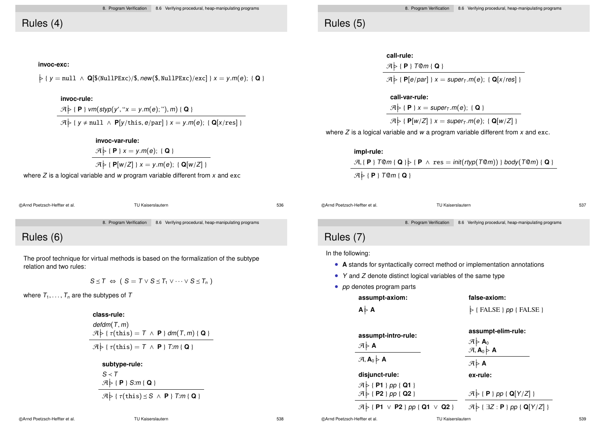# Rules (4)

#### **invoc-exc:**

 $\frac{1}{2}$  { y = null  $\land$  **Q**[\$ $\frac{N}{2}$ (NullPExc)/\$, new(\$, NullPExc)/exc] } x = y.m(e); { **Q** }

### **invoc-rule:**

 $\mathcal{A}$   $\}$  { **P** } vm(styp(y', " $x = y.m(e)$ ;"), m) { **Q** }

 $\mathcal{A} \models \{ y \neq \text{null} \land \mathsf{P}[y/\text{this}, e/\text{par}] \} \mathsf{x} = y.m(e); \{ \mathsf{Q}[x/\text{res}] \}$ 

**invoc-var-rule:**

$$
\mathcal{A} \models \{ \mathbf{P} \} \ x = y.m(e); \ \{ \mathbf{Q} \}
$$

$$
\mathcal{A} \models \{ \mathbf{P}[w/Z] \} \ x = y.m(e); \ \{ \mathbf{Q}[w/Z] \}
$$

where  $Z$  is a logical variable and w program variable different from  $x$  and exc

| @Arnd Poetzsch-Heffter et al. | TU Kaiserslautern | 536 |
|-------------------------------|-------------------|-----|
|                               |                   |     |

8. Program Verification 8.6 Verifying procedural, heap-manipulating programs

# Rules (6)

The proof technique for virtual methods is based on the formalization of the subtype relation and two rules:

$$
S \leq T \iff (S = T \vee S \leq T_1 \vee \cdots \vee S \leq T_n)
$$

where  $T_1, \ldots, T_n$  are the subtypes of T

**class-rule:** defdm(T, m)  $\mathcal{A} \geq \{ \tau(\text{this}) = T \land P \} \, dm(T, m) \{ Q \}$  $\mathcal{A}$   $\triangleright$  {  $\tau$ (this) = T  $\land$  **P** } T:m { **Q** }

**subtype-rule:**

$$
\frac{S \prec T}{\mathcal{A} \models \{P\} \; S:m\{\,Q\,\}}\n \quad \mathcal{A} \models \{\tau(\text{this}) \leq S \;\land\; P\} \; T:m\{\,Q\,\}}
$$

# Rules (5)

| call-rule:                                                                                               |
|----------------------------------------------------------------------------------------------------------|
| $\mathcal{A} \triangleright \{\mathsf{P}\}\top \mathsf{Q}m\{\mathsf{Q}\}\$                               |
| $\mathcal{A} \triangleright \{ \mathsf{P}[e/par] \}$ x = super <sub>T</sub> .m(e); { $\mathsf{Q}[x/res]$ |

**call-var-rule:**

 $\mathcal{A} \triangleright \{\mathsf{P}\}\ x = \text{super}_\tau.m(e); \{\mathsf{Q}\}\$ 

 $\mathcal{A}$   $\triangleright$  { **P**[w/Z] }  $x = super_T.m(e);$  { **Q**[w/Z] }

where  $Z$  is a logical variable and  $w$  a program variable different from  $x$  and exc.

**impl-rule:**  $\mathcal{A}, \{\ \mathsf{P}\ \}$  T@m { **Q** }  $\}$  { **P**  $\land$  res = init(rtyp(T@m)) } body(T@m) { **Q** }  $\mathcal{A} \models \{\mathbf{P}\}\top$ @m $\{\mathbf{Q}\}\$ 

©Arnd Poetzsch-Heffter et al. TU Kaiserslautern 537

8. Program Verification 8.6 Verifying procedural, heap-manipulating programs

# Rules (7)

In the following:

- **A** stands for syntactically correct method or implementation annotations
- Y and Z denote distinct logical variables of the same type
- *pp* denotes program parts

| assumpt-axiom:                                                      | false-axiom:                                                                                                                            |
|---------------------------------------------------------------------|-----------------------------------------------------------------------------------------------------------------------------------------|
| $A \triangleright A$                                                | $\triangleright$ { FALSE } pp { FALSE }                                                                                                 |
| assumpt-intro-rule:<br>$\mathcal{A} \models A$                      | assumpt-elim-rule:<br>$\begin{array}{c}\n\mathcal{A} \models \mathbf{A}_0 \\ \mathcal{A}, \mathbf{A}_0 \models \mathbf{A}\n\end{array}$ |
| $\mathcal{A}, \mathsf{A}_0 \triangleright \mathsf{A}$               | $\mathcal{A} \triangleright A$                                                                                                          |
| disjunct-rule:                                                      | ex-rule:                                                                                                                                |
| $\mathcal{A}$ {P1 } pp {Q1 }<br>$\mathcal{A}$ {P2 } pp {Q2 }        | $\mathcal{A} \triangleright \{\mathsf{P}\}\$ pp { Q[Y/Z] }                                                                              |
| $\mathcal{A}$ $\triangleright$ { P1 $\vee$ P2 } pp { Q1 $\vee$ Q2 } | $\mathcal{A} \models \{\exists Z : \mathsf{P} \}$ pp { Q[Y/Z] }                                                                         |